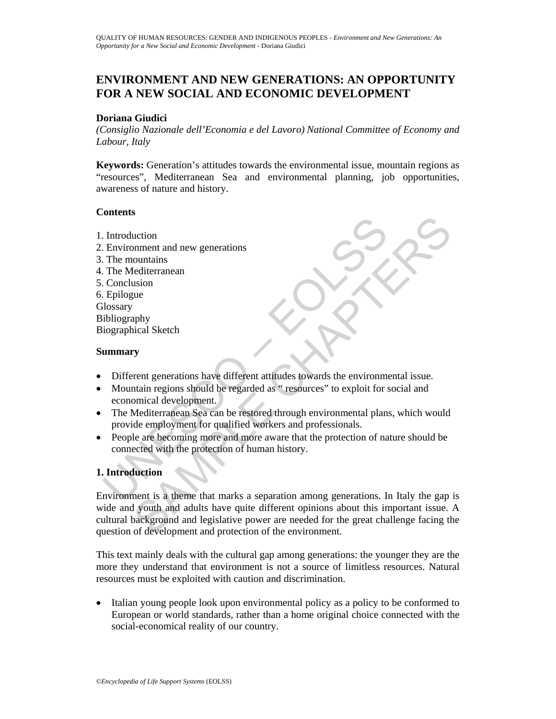# **ENVIRONMENT AND NEW GENERATIONS: AN OPPORTUNITY FOR A NEW SOCIAL AND ECONOMIC DEVELOPMENT**

## **Doriana Giudici**

*(Consiglio Nazionale dell'Economia e del Lavoro) National Committee of Economy and Labour, Italy* 

**Keywords:** Generation's attitudes towards the environmental issue, mountain regions as "resources", Mediterranean Sea and environmental planning, job opportunities, awareness of nature and history.

## **Contents**

- 1. Introduction
- 2. Environment and new generations
- 3. The mountains
- 4. The Mediterranean
- 5. Conclusion
- 6. Epilogue
- **Glossary**
- Bibliography
- Biographical Sketch

## **Summary**

- Different generations have different attitudes towards the environmental issue.
- Introduction<br>
Environment and new generations<br>
The mountains<br>
The Mediterranean<br>
Conclusion<br>
Uniography<br>
Uniography<br>
Uniography<br>
Uniography<br>
Uniography<br>
Uniography<br>
Uniography<br>
Uniography<br>
Uniography<br>
Uniography<br>
Different • Mountain regions should be regarded as " resources" to exploit for social and economical development.
- The Mediterranean Sea can be restored through environmental plans, which would provide employment for qualified workers and professionals.
- People are becoming more and more aware that the protection of nature should be connected with the protection of human history.

## **1. Introduction**

SAMPLE CHAPTERS Environment is a theme that marks a separation among generations. In Italy the gap is wide and youth and adults have quite different opinions about this important issue. A cultural background and legislative power are needed for the great challenge facing the question of development and protection of the environment.

This text mainly deals with the cultural gap among generations: the younger they are the more they understand that environment is not a source of limitless resources. Natural resources must be exploited with caution and discrimination.

Italian young people look upon environmental policy as a policy to be conformed to European or world standards, rather than a home original choice connected with the social-economical reality of our country.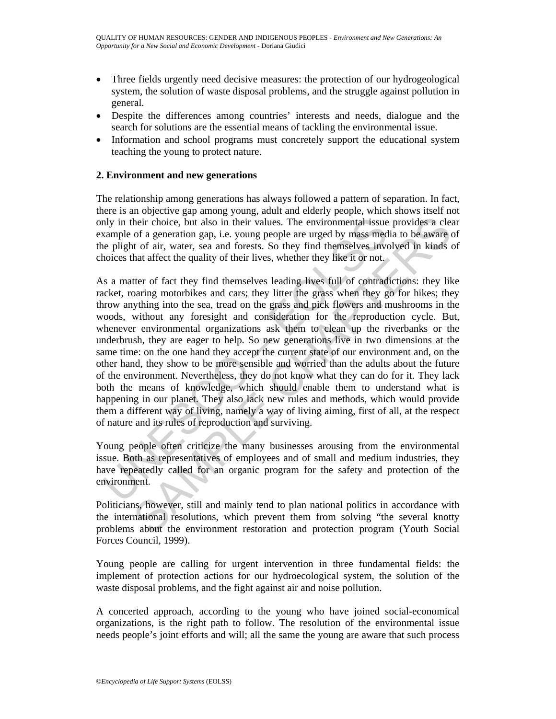- Three fields urgently need decisive measures: the protection of our hydrogeological system, the solution of waste disposal problems, and the struggle against pollution in general.
- Despite the differences among countries' interests and needs, dialogue and the search for solutions are the essential means of tackling the environmental issue.
- Information and school programs must concretely support the educational system teaching the young to protect nature.

## **2. Environment and new generations**

The relationship among generations has always followed a pattern of separation. In fact, there is an objective gap among young, adult and elderly people, which shows itself not only in their choice, but also in their values. The environmental issue provides a clear example of a generation gap, i.e. young people are urged by mass media to be aware of the plight of air, water, sea and forests. So they find themselves involved in kinds of choices that affect the quality of their lives, whether they like it or not.

nly in their choice, but also in their values. The environmental issue<br>axample of a generation gap, i.e. young people are urged by mass med<br>e plight of air, water, sea and forests. So they find themselves invo<br>noices that heir choice, but also in their values. The environmental issue provides a clear and correlation gap, i.e. young people are urged by mass media to bé aware to fa generation gap, i.e. young people are urged by mass media to As a matter of fact they find themselves leading lives full of contradictions: they like racket, roaring motorbikes and cars; they litter the grass when they go for hikes; they throw anything into the sea, tread on the grass and pick flowers and mushrooms in the woods, without any foresight and consideration for the reproduction cycle. But, whenever environmental organizations ask them to clean up the riverbanks or the underbrush, they are eager to help. So new generations live in two dimensions at the same time: on the one hand they accept the current state of our environment and, on the other hand, they show to be more sensible and worried than the adults about the future of the environment. Nevertheless, they do not know what they can do for it. They lack both the means of knowledge, which should enable them to understand what is happening in our planet. They also lack new rules and methods, which would provide them a different way of living, namely a way of living aiming, first of all, at the respect of nature and its rules of reproduction and surviving.

Young people often criticize the many businesses arousing from the environmental issue. Both as representatives of employees and of small and medium industries, they have repeatedly called for an organic program for the safety and protection of the environment.

Politicians, however, still and mainly tend to plan national politics in accordance with the international resolutions, which prevent them from solving "the several knotty problems about the environment restoration and protection program (Youth Social Forces Council, 1999).

Young people are calling for urgent intervention in three fundamental fields: the implement of protection actions for our hydroecological system, the solution of the waste disposal problems, and the fight against air and noise pollution.

A concerted approach, according to the young who have joined social-economical organizations, is the right path to follow. The resolution of the environmental issue needs people's joint efforts and will; all the same the young are aware that such process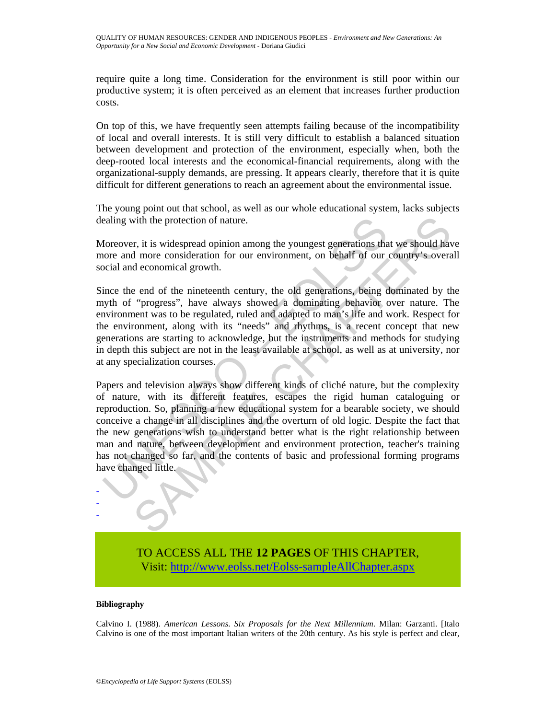require quite a long time. Consideration for the environment is still poor within our productive system; it is often perceived as an element that increases further production costs.

On top of this, we have frequently seen attempts failing because of the incompatibility of local and overall interests. It is still very difficult to establish a balanced situation between development and protection of the environment, especially when, both the deep-rooted local interests and the economical-financial requirements, along with the organizational-supply demands, are pressing. It appears clearly, therefore that it is quite difficult for different generations to reach an agreement about the environmental issue.

The young point out that school, as well as our whole educational system, lacks subjects dealing with the protection of nature.

Moreover, it is widespread opinion among the youngest generations that we should have more and more consideration for our environment, on behalf of our country's overall social and economical growth.

Since the end of the nineteenth century, the old generations, being dominated by the myth of "progress", have always showed a dominating behavior over nature. The environment was to be regulated, ruled and adapted to man's life and work. Respect for the environment, along with its "needs" and rhythms, is a recent concept that new generations are starting to acknowledge, but the instruments and methods for studying in depth this subject are not in the least available at school, as well as at university, nor at any specialization courses.

ealing with the protection of nature.<br>
Moreover, it is widespread opinion among the youngest generations that<br>
ore and more consideration for our environment, on behalf of our<br>
oricial and economical growth.<br>
ince the end is with the protection of nature.<br>
The invides<br>
The protection of nature.<br>
The invides procedure of the minimization for our environment, on behalf of our country's overa<br>
deconomical growth.<br>
The end of the nineteenth cen Papers and television always show different kinds of cliché nature, but the complexity of nature, with its different features, escapes the rigid human cataloguing or reproduction. So, planning a new educational system for a bearable society, we should conceive a change in all disciplines and the overturn of old logic. Despite the fact that the new generations wish to understand better what is the right relationship between man and nature, between development and environment protection, teacher's training has not changed so far, and the contents of basic and professional forming programs have changed little.

> TO ACCESS ALL THE **12 PAGES** OF THIS CHAPTER, Visit[: http://www.eolss.net/Eolss-sampleAllChapter.aspx](https://www.eolss.net/ebooklib/sc_cart.aspx?File=E1-17-04)

### **Bibliography**

- - -

Calvino I. (1988). *American Lessons. Six Proposals for the Next Millennium*. Milan: Garzanti. [Italo Calvino is one of the most important Italian writers of the 20th century. As his style is perfect and clear,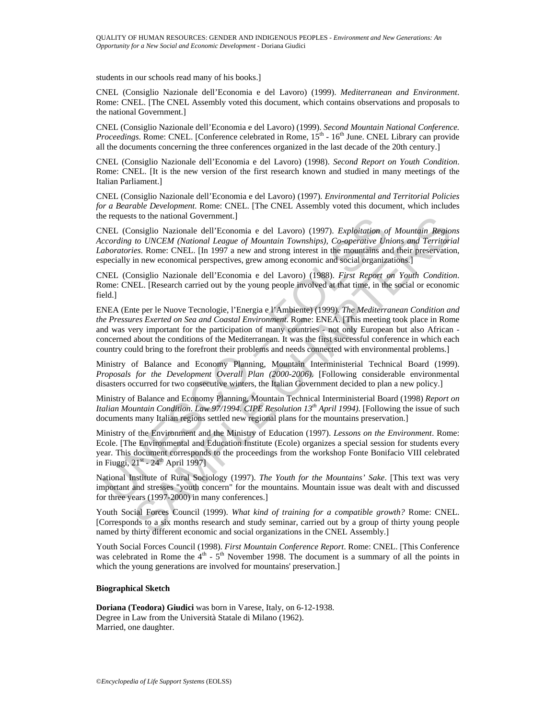students in our schools read many of his books.]

CNEL (Consiglio Nazionale dell'Economia e del Lavoro) (1999). *Mediterranean and Environment*. Rome: CNEL. [The CNEL Assembly voted this document, which contains observations and proposals to the national Government.]

CNEL (Consiglio Nazionale dell'Economia e del Lavoro) (1999). *Second Mountain National Conference. Proceedings*. Rome: CNEL. [Conference celebrated in Rome, 15<sup>th</sup> - 16<sup>th</sup> June. CNEL Library can provide all the documents concerning the three conferences organized in the last decade of the 20th century.]

CNEL (Consiglio Nazionale dell'Economia e del Lavoro) (1998). *Second Report on Youth Condition*. Rome: CNEL. [It is the new version of the first research known and studied in many meetings of the Italian Parliament.]

CNEL (Consiglio Nazionale dell'Economia e del Lavoro) (1997). *Environmental and Territorial Policies for a Bearable Development*. Rome: CNEL. [The CNEL Assembly voted this document, which includes the requests to the national Government.]

CNEL (Consiglio Nazionale dell'Economia e del Lavoro) (1997). *Exploitation of Mountain Regions According to UNCEM (National League of Mountain Townships), Co-operative Unions and Territorial Laboratories*. Rome: CNEL. [In 1997 a new and strong interest in the mountains and their preservation, especially in new economical perspectives, grew among economic and social organizations.]

CNEL (Consiglio Nazionale dell'Economia e del Lavoro) (1988). *First Report on Youth Condition*. Rome: CNEL. [Research carried out by the young people involved at that time, in the social or economic field.]

e requests to the national Government.]<br>
NEL (Consiglio Nazional edl'Economia e del Lavoro) (1997). Exploitation on<br>
NEL (Consiglio Nazional League of Mountain Townships), Co-operative Un<br>
aboratories. Rome: CNEL. [In 199 is to the national Government.]<br>
In the deal "Economia e del Lavoro) (1997). *Exploitation of Mountain Regionalistic Motions (and dell'Economia e del Lavoro) (1997). <i>Ecooperative Unions and Territoria*<br> *to UNCEM (Nation* ENEA (Ente per le Nuove Tecnologie, l'Energia e l'Ambiente) (1999). *The Mediterranean Condition and the Pressures Exerted on Sea and Coastal Environment*. Rome: ENEA. [This meeting took place in Rome and was very important for the participation of many countries - not only European but also African concerned about the conditions of the Mediterranean. It was the first successful conference in which each country could bring to the forefront their problems and needs connected with environmental problems.]

Ministry of Balance and Economy Planning, Mountain Interministerial Technical Board (1999). *Proposals for the Development Overall Plan (2000-2006)*. [Following considerable environmental disasters occurred for two consecutive winters, the Italian Government decided to plan a new policy.]

Ministry of Balance and Economy Planning, Mountain Technical Interministerial Board (1998) *Report on Italian Mountain Condition*. *Law 97/1994. CIPE Resolution 13th April 1994)*. [Following the issue of such documents many Italian regions settled new regional plans for the mountains preservation.]

Ministry of the Environment and the Ministry of Education (1997). *Lessons on the Environment*. Rome: Ecole. [The Environmental and Education Institute (Ecole) organizes a special session for students every year. This document corresponds to the proceedings from the workshop Fonte Bonifacio VIII celebrated in Fiuggi,  $21^{st}$  -  $24^{th}$  April 1997]

National Institute of Rural Sociology (1997). *The Youth for the Mountains' Sake*. [This text was very important and stresses "youth concern" for the mountains. Mountain issue was dealt with and discussed for three years (1997-2000) in many conferences.]

Youth Social Forces Council (1999). *What kind of training for a compatible growth?* Rome: CNEL. [Corresponds to a six months research and study seminar, carried out by a group of thirty young people named by thirty different economic and social organizations in the CNEL Assembly.]

Youth Social Forces Council (1998). *First Mountain Conference Report*. Rome: CNEL. [This Conference was celebrated in Rome the  $4<sup>th</sup>$  -  $5<sup>th</sup>$  November 1998. The document is a summary of all the points in which the young generations are involved for mountains' preservation.]

### **Biographical Sketch**

**Doriana (Teodora) Giudici** was born in Varese, Italy, on 6-12-1938. Degree in Law from the Università Statale di Milano (1962). Married, one daughter.